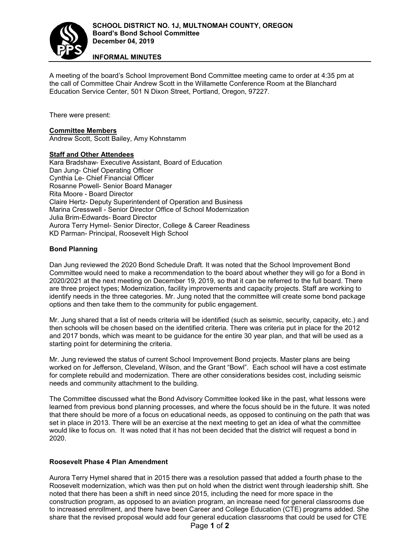

**INFORMAL MINUTES**

A meeting of the board's School Improvement Bond Committee meeting came to order at 4:35 pm at the call of Committee Chair Andrew Scott in the Willamette Conference Room at the Blanchard Education Service Center, 501 N Dixon Street, Portland, Oregon, 97227.

There were present:

## **Committee Members**

Andrew Scott, Scott Bailey, Amy Kohnstamm

## **Staff and Other Attendees**

Kara Bradshaw- Executive Assistant, Board of Education Dan Jung- Chief Operating Officer Cynthia Le- Chief Financial Officer Rosanne Powell- Senior Board Manager Rita Moore - Board Director Claire Hertz- Deputy Superintendent of Operation and Business Marina Cresswell - Senior Director Office of School Modernization Julia Brim-Edwards- Board Director Aurora Terry Hymel- Senior Director, College & Career Readiness KD Parman- Principal, Roosevelt High School

# **Bond Planning**

Dan Jung reviewed the 2020 Bond Schedule Draft. It was noted that the School Improvement Bond Committee would need to make a recommendation to the board about whether they will go for a Bond in 2020/2021 at the next meeting on December 19, 2019, so that it can be referred to the full board. There are three project types; Modernization, facility improvements and capacity projects. Staff are working to identify needs in the three categories. Mr. Jung noted that the committee will create some bond package options and then take them to the community for public engagement.

Mr. Jung shared that a list of needs criteria will be identified (such as seismic, security, capacity, etc.) and then schools will be chosen based on the identified criteria. There was criteria put in place for the 2012 and 2017 bonds, which was meant to be guidance for the entire 30 year plan, and that will be used as a starting point for determining the criteria.

Mr. Jung reviewed the status of current School Improvement Bond projects. Master plans are being worked on for Jefferson, Cleveland, Wilson, and the Grant "Bowl". Each school will have a cost estimate for complete rebuild and modernization. There are other considerations besides cost, including seismic needs and community attachment to the building.

The Committee discussed what the Bond Advisory Committee looked like in the past, what lessons were learned from previous bond planning processes, and where the focus should be in the future. It was noted that there should be more of a focus on educational needs, as opposed to continuing on the path that was set in place in 2013. There will be an exercise at the next meeting to get an idea of what the committee would like to focus on. It was noted that it has not been decided that the district will request a bond in 2020.

#### **Roosevelt Phase 4 Plan Amendment**

Aurora Terry Hymel shared that in 2015 there was a resolution passed that added a fourth phase to the Roosevelt modernization, which was then put on hold when the district went through leadership shift. She noted that there has been a shift in need since 2015, including the need for more space in the construction program, as opposed to an aviation program, an increase need for general classrooms due to increased enrollment, and there have been Career and College Education (CTE) programs added. She share that the revised proposal would add four general education classrooms that could be used for CTE